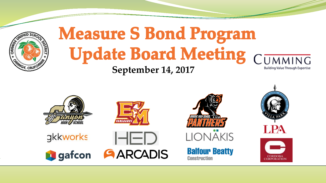

#### **Measure S Bond Program Update Board Meeting CUMMING September 14, 2017Building Value Through Expertise**





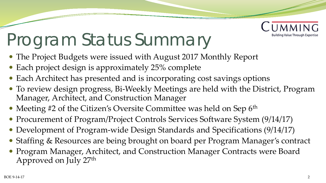

### Program Status Summary

- The Project Budgets were issued with August 2017 Monthly Report
- Each project design is approximately 25% complete
- Each Architect has presented and is incorporating cost savings options
- To review design progress, Bi-Weekly Meetings are held with the District, Program Manager, Architect, and Construction Manager
- Meeting #2 of the Citizen's Oversite Committee was held on Sep 6<sup>th</sup>
- Procurement of Program/Project Controls Services Software System (9/14/17)
- Development of Program-wide Design Standards and Specifications (9/14/17)
- Staffing & Resources are being brought on board per Program Manager's contract
- Program Manager, Architect, and Construction Manager Contracts were Board Approved on July 27<sup>th</sup>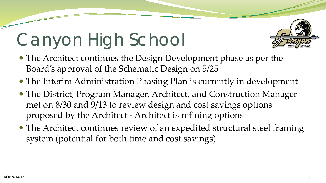# Canyon High School



- The Architect continues the Design Development phase as per the Board's approval of the Schematic Design on 5/25
- The Interim Administration Phasing Plan is currently in development
- The District, Program Manager, Architect, and Construction Manager met on 8/30 and 9/13 to review design and cost savings options proposed by the Architect - Architect is refining options
- The Architect continues review of an expedited structural steel framing system (potential for both time and cost savings)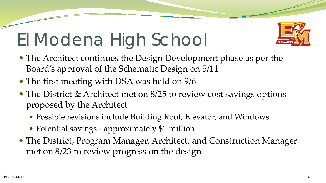### El Modena High School



- The Architect continues the Design Development phase as per the Board's approval of the Schematic Design on 5/11
- The first meeting with DSA was held on  $9/6$
- The District & Architect met on 8/25 to review cost savings options proposed by the Architect
	- Possible revisions include Building Roof, Elevator, and Windows
	- Potential savings approximately \$1 million
- The District, Program Manager, Architect, and Construction Manager met on 8/23 to review progress on the design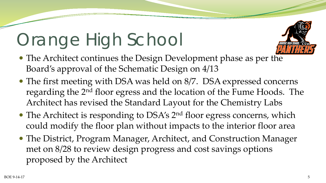### Orange High School



- The Architect continues the Design Development phase as per the Board's approval of the Schematic Design on 4/13
- The first meeting with DSA was held on 8/7. DSA expressed concerns regarding the 2nd floor egress and the location of the Fume Hoods. The Architect has revised the Standard Layout for the Chemistry Labs
- The Architect is responding to DSA's 2<sup>nd</sup> floor egress concerns, which could modify the floor plan without impacts to the interior floor area
- The District, Program Manager, Architect, and Construction Manager met on 8/28 to review design progress and cost savings options proposed by the Architect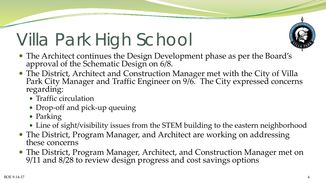## Villa Park High School

- 
- The Architect continues the Design Development phase as per the Board's approval of the Schematic Design on 6/8.
- The District, Architect and Construction Manager met with the City of Villa Park City Manager and Traffic Engineer on 9/6. The City expressed concerns regarding:
	- Traffic circulation
	- Drop-off and pick-up queuing
	- Parking
	- Line of sight/visibility issues from the STEM building to the eastern neighborhood
- The District, Program Manager, and Architect are working on addressing these concerns
- The District, Program Manager, Architect, and Construction Manager met on 9/11 and 8/28 to review design progress and cost savings options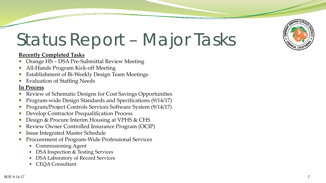

### Status Report – Major Tasks

#### **Recently Completed Tasks**

- Orange HS DSA Pre-Submittal Review Meeting
- All-Hands Program Kick-off Meeting
- Establishment of Bi-Weekly Design Team Meetings
- Evaluation of Staffing Needs

#### **In Process**

- Review of Schematic Designs for Cost Savings Opportunities
- Program-wide Design Standards and Specifications (9/14/17)
- Program/Project Controls Services Software System (9/14/17)
- Develop Contractor Prequalification Process
- Design & Procure Interim Housing at VPHS & CHS
- Review Owner Controlled Insurance Program (OCIP)
- Issue Integrated Master Schedule
- Procurement of Program-Wide Professional Services
	- Commissioning Agent
	- DSA Inspection & Testing Services
	- DSA Laboratory of Record Services
	- CEQA Consultant